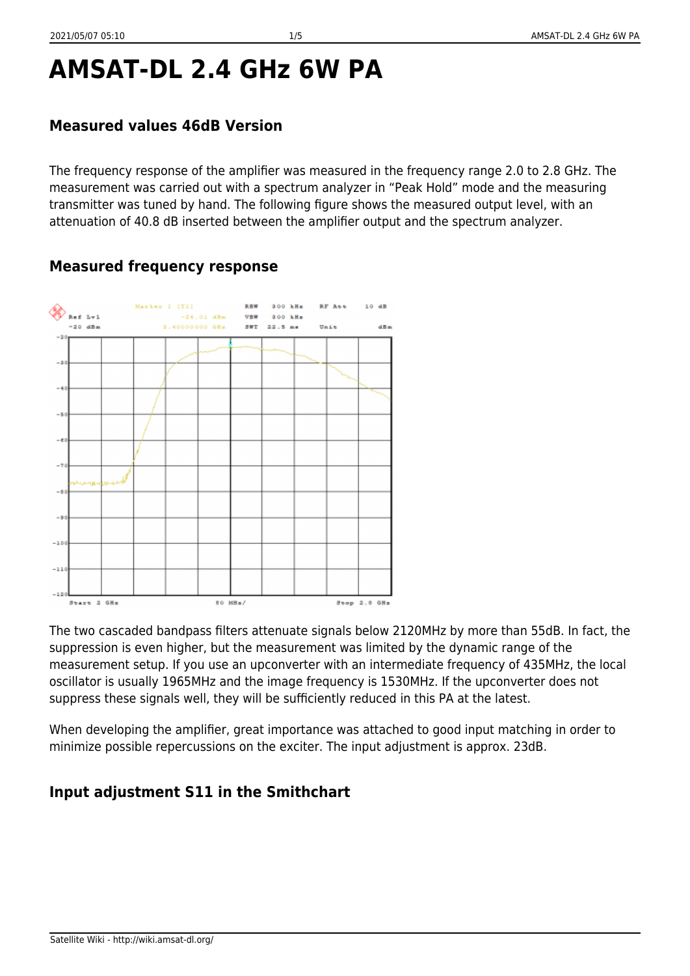# **AMSAT-DL 2.4 GHz 6W PA**

#### **Measured values 46dB Version**

The frequency response of the amplifier was measured in the frequency range 2.0 to 2.8 GHz. The measurement was carried out with a spectrum analyzer in "Peak Hold" mode and the measuring transmitter was tuned by hand. The following figure shows the measured output level, with an attenuation of 40.8 dB inserted between the amplifier output and the spectrum analyzer.

### **Measured frequency response**



The two cascaded bandpass filters attenuate signals below 2120MHz by more than 55dB. In fact, the suppression is even higher, but the measurement was limited by the dynamic range of the measurement setup. If you use an upconverter with an intermediate frequency of 435MHz, the local oscillator is usually 1965MHz and the image frequency is 1530MHz. If the upconverter does not suppress these signals well, they will be sufficiently reduced in this PA at the latest.

When developing the amplifier, great importance was attached to good input matching in order to minimize possible repercussions on the exciter. The input adjustment is approx. 23dB.

### **Input adjustment S11 in the Smithchart**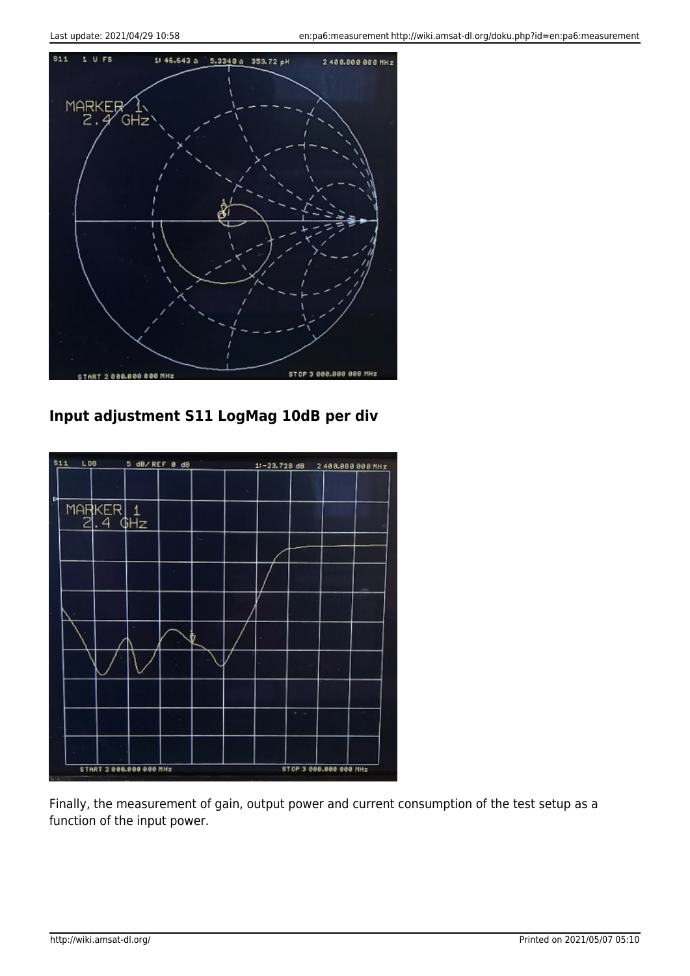

## **Input adjustment S11 LogMag 10dB per div**



Finally, the measurement of gain, output power and current consumption of the test setup as a function of the input power.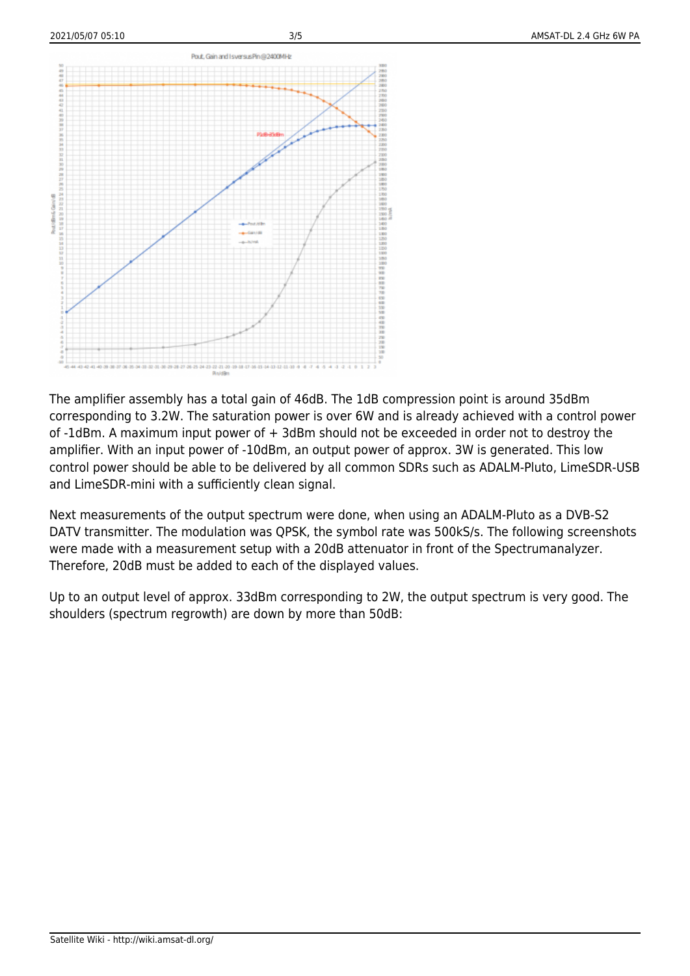

The amplifier assembly has a total gain of 46dB. The 1dB compression point is around 35dBm corresponding to 3.2W. The saturation power is over 6W and is already achieved with a control power of -1dBm. A maximum input power of + 3dBm should not be exceeded in order not to destroy the amplifier. With an input power of -10dBm, an output power of approx. 3W is generated. This low control power should be able to be delivered by all common SDRs such as ADALM-Pluto, LimeSDR-USB and LimeSDR-mini with a sufficiently clean signal.

Next measurements of the output spectrum were done, when using an ADALM-Pluto as a DVB-S2 DATV transmitter. The modulation was QPSK, the symbol rate was 500kS/s. The following screenshots were made with a measurement setup with a 20dB attenuator in front of the Spectrumanalyzer. Therefore, 20dB must be added to each of the displayed values.

Up to an output level of approx. 33dBm corresponding to 2W, the output spectrum is very good. The shoulders (spectrum regrowth) are down by more than 50dB: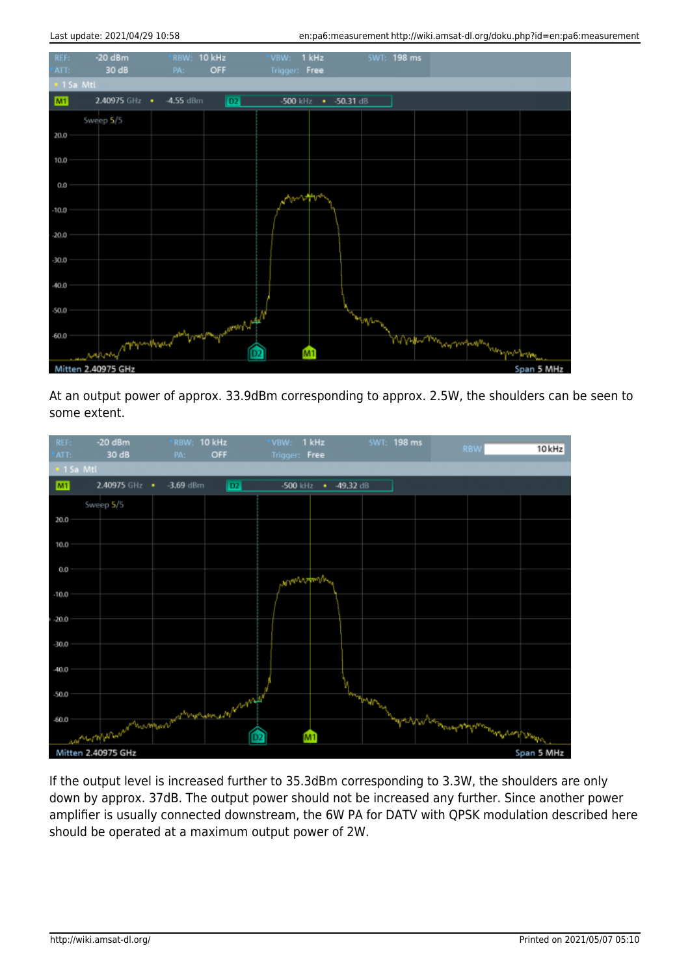| REF:<br>'ATT:                    | $-20$ dBm<br>30 dB | RBW: 10 kHz<br>OFF<br>PA:                        | *VBW: 1 kHz<br>Trigger: Free      | SWT: 198 ms |                                     |  |  |  |  |  |  |  |
|----------------------------------|--------------------|--------------------------------------------------|-----------------------------------|-------------|-------------------------------------|--|--|--|--|--|--|--|
| · 1 Sa Mtl                       |                    |                                                  |                                   |             |                                     |  |  |  |  |  |  |  |
| M1                               | 2.40975 GHz •      | $-4.55$ dBm<br>$\sqrt{2}$                        | -500 $kHz$<br>$-50.31 \text{ dB}$ |             |                                     |  |  |  |  |  |  |  |
|                                  | Sweep 5/5          |                                                  |                                   |             |                                     |  |  |  |  |  |  |  |
| 20.0                             |                    |                                                  |                                   |             |                                     |  |  |  |  |  |  |  |
| 10.0                             |                    |                                                  |                                   |             |                                     |  |  |  |  |  |  |  |
|                                  |                    |                                                  |                                   |             |                                     |  |  |  |  |  |  |  |
| 0.0                              |                    |                                                  |                                   |             |                                     |  |  |  |  |  |  |  |
| $-10.0$                          |                    |                                                  |                                   |             |                                     |  |  |  |  |  |  |  |
| $-20.0$                          |                    |                                                  |                                   |             |                                     |  |  |  |  |  |  |  |
|                                  |                    |                                                  |                                   |             |                                     |  |  |  |  |  |  |  |
| $-30.0$                          |                    |                                                  |                                   |             |                                     |  |  |  |  |  |  |  |
| $-40.0$                          |                    |                                                  |                                   |             |                                     |  |  |  |  |  |  |  |
| $-50.0$                          |                    |                                                  |                                   |             |                                     |  |  |  |  |  |  |  |
|                                  |                    |                                                  |                                   | MA          |                                     |  |  |  |  |  |  |  |
| $-60.0$                          |                    | rapony programshipped and broad monday according | M <sub>1</sub>                    |             | Magharthay my maghing has your form |  |  |  |  |  |  |  |
| Mitten 2.40975 GHz<br>Span 5 MHz |                    |                                                  |                                   |             |                                     |  |  |  |  |  |  |  |

At an output power of approx. 33.9dBm corresponding to approx. 2.5W, the shoulders can be seen to some extent.



If the output level is increased further to 35.3dBm corresponding to 3.3W, the shoulders are only down by approx. 37dB. The output power should not be increased any further. Since another power amplifier is usually connected downstream, the 6W PA for DATV with QPSK modulation described here should be operated at a maximum output power of 2W.